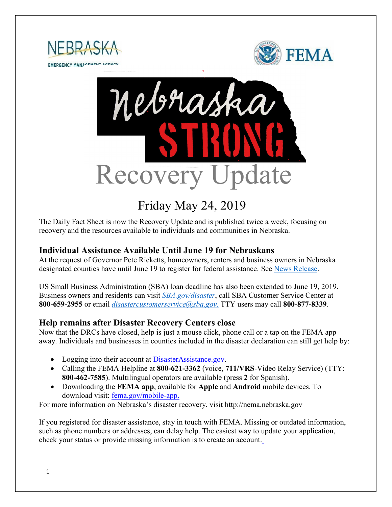





# Friday May 24, 2019

The Daily Fact Sheet is now the Recovery Update and is published twice a week, focusing on recovery and the resources available to individuals and communities in Nebraska.

## **Individual Assistance Available Until June 19 for Nebraskans**

At the request of Governor Pete Ricketts, homeowners, renters and business owners in Nebraska designated counties have until June 19 to register for federal assistance. See [News Release.](https://www.fema.gov/news-release/2019/05/16/individual-assistance-now-available-until-june-19-nebraskans)

US Small Business Administration (SBA) loan deadline has also been extended to June 19, 2019. Business owners and residents can visit *[SBA.gov/disaster](http://www.sba.gov/disaster)*, call SBA Customer Service Center at **800-659-2955** or email *[disastercustomerservice@sba.gov.](mailto:disastercustomerservice@sba.gov)* TTY users may call **800-877-8339**.

## **Help remains after Disaster Recovery Centers close**

Now that the DRCs have closed, help is just a mouse click, phone call or a tap on the FEMA app away. Individuals and businesses in counties included in the disaster declaration can still get help by:

- Logging into their account at [DisasterAssistance.gov.](http://www.disasterassistance.gov/)
- Calling the FEMA Helpline at **800-621-3362** (voice, **711/VRS**-Video Relay Service) (TTY: **800-462-7585**). Multilingual operators are available (press **2** for Spanish).
- Downloading the **FEMA app**, available for **Apple** and **Android** mobile devices. To download visit: [fema.gov/mobile-app.](https://www.fema.gov/mobile-app)

For more information on Nebraska's disaster recovery, visit http://nema.nebraska.gov

If you registered for disaster assistance, stay in touch with FEMA. Missing or outdated information, such as phone numbers or addresses, can delay help. The easiest way to update your application, check your status or provide missing information is to create an account.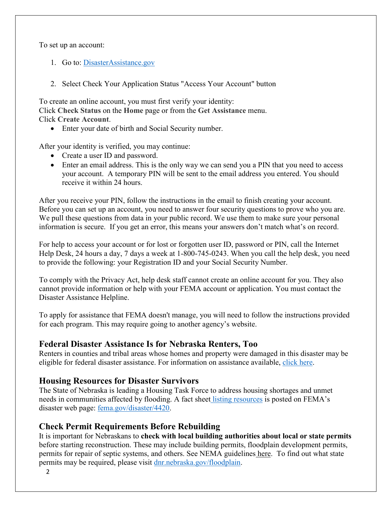To set up an account:

- 1. Go to: [DisasterAssistance.gov](http://www.disasterassistance.gov/)
- 2. Select Check Your Application Status "Access Your Account" button

To create an online account, you must first verify your identity: Click **Check Status** on the **Home** page or from the **Get Assistance** menu. Click **Create Account**.

• Enter your date of birth and Social Security number.

After your identity is verified, you may continue:

- Create a user ID and password.
- Enter an email address. This is the only way we can send you a PIN that you need to access your account. A temporary PIN will be sent to the email address you entered. You should receive it within 24 hours.

After you receive your PIN, follow the instructions in the email to finish creating your account. Before you can set up an account, you need to answer four security questions to prove who you are. We pull these questions from data in your public record. We use them to make sure your personal information is secure. If you get an error, this means your answers don't match what's on record.

For help to access your account or for lost or forgotten user ID, password or PIN, call the Internet Help Desk, 24 hours a day, 7 days a week at 1-800-745-0243. When you call the help desk, you need to provide the following: your Registration ID and your Social Security Number.

To comply with the Privacy Act, help desk staff cannot create an online account for you. They also cannot provide information or help with your FEMA account or application. You must contact the Disaster Assistance Helpline.

To apply for assistance that FEMA doesn't manage, you will need to follow the instructions provided for each program. This may require going to another agency's website.

#### **Federal Disaster Assistance Is for Nebraska Renters, Too**

Renters in counties and tribal areas whose homes and property were damaged in this disaster may be eligible for federal disaster assistance. For information on assistance available, [click here.](https://www.fema.gov/news-release/2019/05/13/federal-disaster-assistance-nebraska-renters-too)

#### **Housing Resources for Disaster Survivors**

The State of Nebraska is leading a Housing Task Force to address housing shortages and unmet needs in communities affected by flooding. A fact sheet [listing resources](https://edit.fema.gov/news-release/2019/04/19/fact-sheet-housing-resources-residents-nebraska-affected-march-storms-0) is posted on FEMA's disaster web page: [fema.gov/disaster/4420.](http://www.fema.gov/disaster/4420)

## **Check Permit Requirements Before Rebuilding**

It is important for Nebraskans to **check with local building authorities about local or state permits** before starting reconstruction. These may include building permits, floodplain development permits, permits for repair of septic systems, and others. See NEMA guidelines [here.](https://nema.nebraska.gov/sites/nema.nebraska.gov/files/doc/ehp-considerations.pdf) To find out what state permits may be required, please visit [dnr.nebraska.gov/floodplain.](https://dnr.nebraska.gov/floodplain)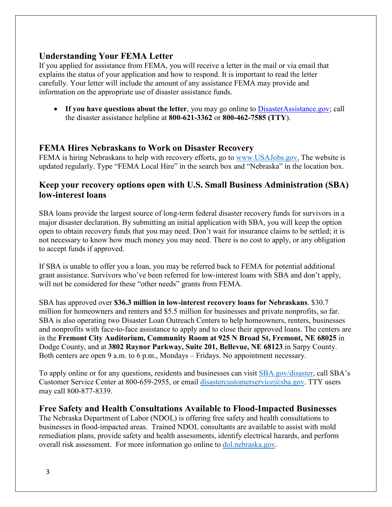## **Understanding Your FEMA Letter**

If you applied for assistance from FEMA, you will receive a letter in the mail or via email that explains the status of your application and how to respond. It is important to read the letter carefully. Your letter will include the amount of any assistance FEMA may provide and information on the appropriate use of disaster assistance funds.

• If you have questions about the letter, you may go online to **DisasterAssistance.gov**; call the disaster assistance helpline at **800-621-3362** or **800-462-7585 (TTY**).

#### **FEMA Hires Nebraskans to Work on Disaster Recovery**

FEMA is hiring Nebraskans to help with recovery efforts, go to [www.USAJobs.gov.](http://www.usajobs.gov/) The website is updated regularly. Type "FEMA Local Hire" in the search box and "Nebraska" in the location box.

## **Keep your recovery options open with U.S. Small Business Administration (SBA) low-interest loans**

SBA loans provide the largest source of long-term federal disaster recovery funds for survivors in a major disaster declaration. By submitting an initial application with SBA, you will keep the option open to obtain recovery funds that you may need. Don't wait for insurance claims to be settled; it is not necessary to know how much money you may need. There is no cost to apply, or any obligation to accept funds if approved.

If SBA is unable to offer you a loan, you may be referred back to FEMA for potential additional grant assistance. Survivors who've been referred for low-interest loans with SBA and don't apply, will not be considered for these "other needs" grants from FEMA.

SBA has approved over **\$36.3 million in low-interest recovery loans for Nebraskans**. \$30.7 million for homeowners and renters and \$5.5 million for businesses and private nonprofits, so far. SBA is also operating two Disaster Loan Outreach Centers to help homeowners, renters, businesses and nonprofits with face-to-face assistance to apply and to close their approved loans. The centers are in the **Fremont City Auditorium, Community Room at 925 N Broad St, Fremont, NE 68025** in Dodge County, and at **3802 Raynor Parkway, Suite 201, Bellevue, NE 68123**.in Sarpy County. Both centers are open 9 a.m. to 6 p.m., Mondays – Fridays. No appointment necessary.

To apply online or for any questions, residents and businesses can visit [SBA.gov/disaster,](http://www.sba.gov/disaster) call SBA's Customer Service Center at 800-659-2955, or email [disastercustomerservice@sba.gov.](mailto:disastercustomerservice@sba.gov) TTY users may call 800-877-8339.

#### **Free Safety and Health Consultations Available to Flood-Impacted Businesses**

The Nebraska Department of Labor (NDOL) is offering free safety and health consultations to businesses in flood-impacted areas. Trained NDOL consultants are available to assist with mold remediation plans, provide safety and health assessments, identify electrical hazards, and perform overall risk assessment. For more information go online to [dol.nebraska.gov.](https://dol.nebraska.gov/PressRelease/Details/117)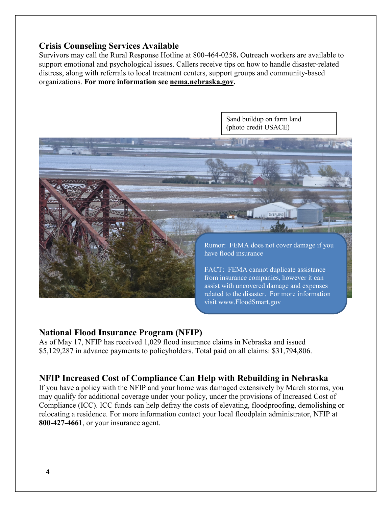## **Crisis Counseling Services Available**

Survivors may call the Rural Response Hotline at 800-464-0258**.** Outreach workers are available to support emotional and psychological issues. Callers receive tips on how to handle disaster-related distress, along with referrals to local treatment centers, support groups and community-based organizations. **For more information see [nema.nebraska.gov.](file://fema.net/R7/DR/DR-4420-NE/EA/Planning%20and%20Products/Writers/Dale%20Bonza/DFS/nema.nebraska.gov)**



#### **National Flood Insurance Program (NFIP)**

As of May 17, NFIP has received 1,029 flood insurance claims in Nebraska and issued \$5,129,287 in advance payments to policyholders. Total paid on all claims: \$31,794,806.

#### **NFIP Increased Cost of Compliance Can Help with Rebuilding in Nebraska**

If you have a policy with the NFIP and your home was damaged extensively by March storms, you may qualify for additional coverage under your policy, under the provisions of Increased Cost of Compliance (ICC). ICC funds can help defray the costs of elevating, floodproofing, demolishing or relocating a residence. For more information contact your local floodplain administrator, NFIP at **800-427-4661**, or your insurance agent.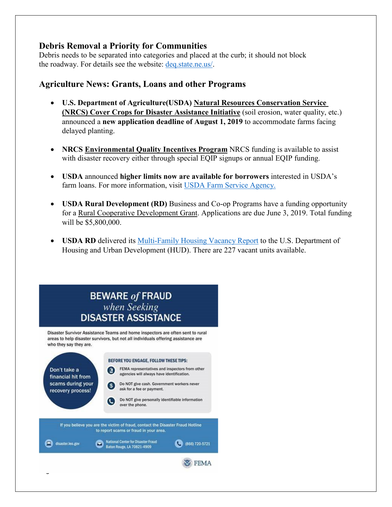## **Debris Removal a Priority for Communities**

Debris needs to be separated into categories and placed at the curb; it should not block the roadway. For details see the website: [deq.state.ne.us/.](http://www.deq.state.ne.us/)

## **Agriculture News: Grants, Loans and other Programs**

- **U.S. Department of Agriculture(USDA) [Natural Resources Conservation Service](https://www.nrcs.usda.gov/wps/portal/nrcs/mo/newsroom/releases/9cb3c5a7-d3a4-470f-8fa0-cb132f8e07ab/)  (NRCS) [Cover Crops for Disaster Assistance Initiative](https://www.nrcs.usda.gov/wps/portal/nrcs/mo/newsroom/releases/9cb3c5a7-d3a4-470f-8fa0-cb132f8e07ab/)** (soil erosion, water quality, etc.) announced a **new application deadline of August 1, 2019** to accommodate farms facing delayed planting.
- **[NRCS Environmental Quality Incentives Program](https://www.nrcs.usda.gov/Internet/FSE_MEDIA/nrcseprd1429025.pdf)** NRCS funding is available to assist with disaster recovery either through special EQIP signups or annual EQIP funding.
- **USDA** announced **higher limits now are available for borrowers** interested in USDA's farm loans. For more information, visit [USDA Farm Service Agency.](https://www.fsa.usda.gov/)
- **USDA Rural Development (RD)** Business and Co-op Programs have a funding opportunity for a [Rural Cooperative Development Grant.](https://www.rd.usda.gov/programs-services/rural-cooperative-development-grant-program) Applications are due June 3, 2019. Total funding will be \$5,800,000.
- **USDA RD** delivered its Multi-Family [Housing Vacancy Report](https://www.rd.usda.gov/) to the U.S. Department of Housing and Urban Development (HUD). There are 227 vacant units available.

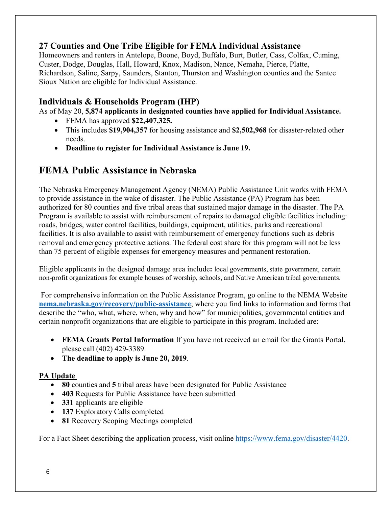## **27 Counties and One Tribe Eligible for FEMA Individual Assistance**

Homeowners and renters in Antelope, Boone, Boyd, Buffalo, Burt, Butler, Cass, Colfax, Cuming, Custer, Dodge, Douglas, Hall, Howard, Knox, Madison, Nance, Nemaha, Pierce, Platte, Richardson, Saline, Sarpy, Saunders, Stanton, Thurston and Washington counties and the Santee Sioux Nation are eligible for Individual Assistance.

## **Individuals & Households Program (IHP)**

As of May 20, **5,874 applicants in designated counties have applied for Individual Assistance.**

- FEMA has approved **\$22,407,325.**
- This includes **\$19,904,357** for housing assistance and **\$2,502,968** for disaster-related other needs.
- **Deadline to register for Individual Assistance is June 19.**

## **FEMA Public Assistance in Nebraska**

The Nebraska Emergency Management Agency (NEMA) Public Assistance Unit works with FEMA to provide assistance in the wake of disaster. The Public Assistance (PA) Program has been authorized for 80 counties and five tribal areas that sustained major damage in the disaster. The PA Program is available to assist with reimbursement of repairs to damaged eligible facilities including: roads, bridges, water control facilities, buildings, equipment, utilities, parks and recreational facilities. It is also available to assist with reimbursement of emergency functions such as debris removal and emergency protective actions. The federal cost share for this program will not be less than 75 percent of eligible expenses for emergency measures and permanent restoration.

Eligible applicants in the designed damage area include**:** local governments, state government, certain non-profit organizations for example houses of worship, schools, and Native American tribal governments.

For comprehensive information on the Public Assistance Program, go online to the NEMA Website **[nema.nebraska.gov/recovery/public-assistance](https://nema.nebraska.gov/recovery/public-assistance)**; where you find links to information and forms that describe the "who, what, where, when, why and how" for municipalities, governmental entities and certain nonprofit organizations that are eligible to participate in this program. Included are:

- **FEMA Grants Portal Information** If you have not received an email for the Grants Portal, please call (402) 429-3389.
- **The deadline to apply is June 20, 2019**.

#### **PA Update**

- **80** counties and **5** tribal areas have been designated for Public Assistance
- **403** Requests for Public Assistance have been submitted
- **331** applicants are eligible
- **137** Exploratory Calls completed
- **81** Recovery Scoping Meetings completed

For a Fact Sheet describing the application process, visit online [https://www.fema.gov/disaster/4420.](https://www.fema.gov/disaster/4420)